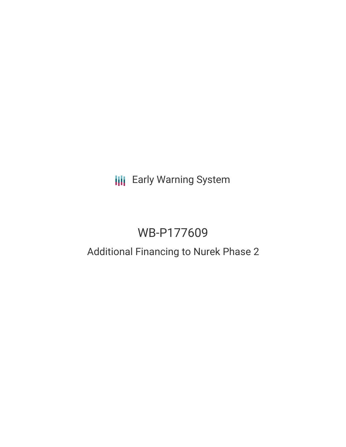**III** Early Warning System

# WB-P177609

# Additional Financing to Nurek Phase 2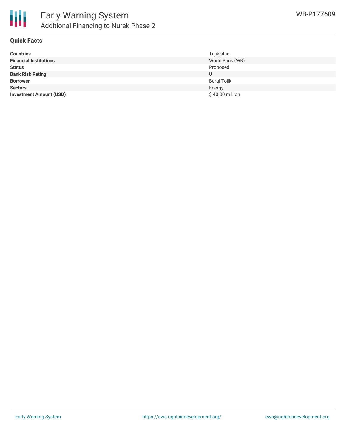

#### **Quick Facts**

| <b>Countries</b>               | Tajikistan      |
|--------------------------------|-----------------|
| <b>Financial Institutions</b>  | World Bank (WB) |
| <b>Status</b>                  | Proposed        |
| <b>Bank Risk Rating</b>        | U               |
| <b>Borrower</b>                | Barqi Tojik     |
| <b>Sectors</b>                 | Energy          |
| <b>Investment Amount (USD)</b> | \$40.00 million |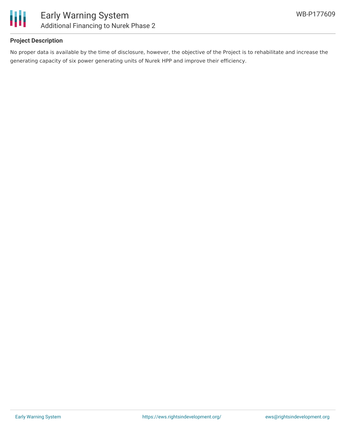

## **Project Description**

No proper data is available by the time of disclosure, however, the objective of the Project is to rehabilitate and increase the generating capacity of six power generating units of Nurek HPP and improve their efficiency.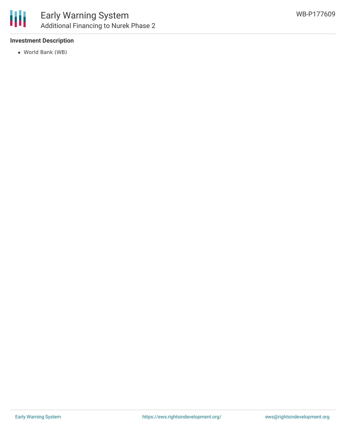

# **Investment Description**

World Bank (WB)